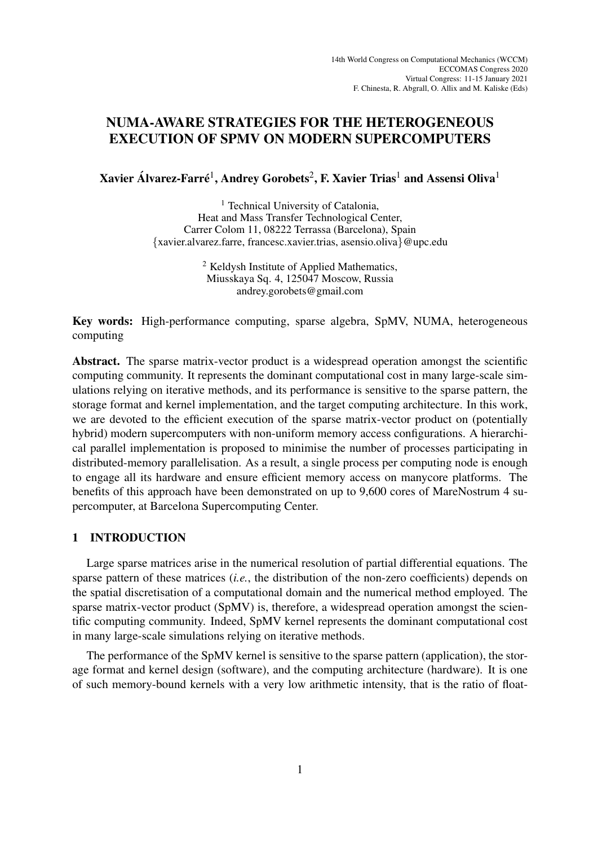# NUMA-AWARE STRATEGIES FOR THE HETEROGENEOUS EXECUTION OF SPMV ON MODERN SUPERCOMPUTERS

Xavier Álvarez-Farré<sup>1</sup>, Andrey Gorobets<sup>2</sup>, F. Xavier Trias<sup>1</sup> and Assensi Oliva<sup>1</sup>

<sup>1</sup> Technical University of Catalonia, Heat and Mass Transfer Technological Center, Carrer Colom 11, 08222 Terrassa (Barcelona), Spain {xavier.alvarez.farre, francesc.xavier.trias, asensio.oliva}@upc.edu

> <sup>2</sup> Keldysh Institute of Applied Mathematics, Miusskaya Sq. 4, 125047 Moscow, Russia andrey.gorobets@gmail.com

Key words: High-performance computing, sparse algebra, SpMV, NUMA, heterogeneous computing

Abstract. The sparse matrix-vector product is a widespread operation amongst the scientific computing community. It represents the dominant computational cost in many large-scale simulations relying on iterative methods, and its performance is sensitive to the sparse pattern, the storage format and kernel implementation, and the target computing architecture. In this work, we are devoted to the efficient execution of the sparse matrix-vector product on (potentially hybrid) modern supercomputers with non-uniform memory access configurations. A hierarchical parallel implementation is proposed to minimise the number of processes participating in distributed-memory parallelisation. As a result, a single process per computing node is enough to engage all its hardware and ensure efficient memory access on manycore platforms. The benefits of this approach have been demonstrated on up to 9,600 cores of MareNostrum 4 supercomputer, at Barcelona Supercomputing Center.

## 1 INTRODUCTION

Large sparse matrices arise in the numerical resolution of partial differential equations. The sparse pattern of these matrices (*i.e.*, the distribution of the non-zero coefficients) depends on the spatial discretisation of a computational domain and the numerical method employed. The sparse matrix-vector product (SpMV) is, therefore, a widespread operation amongst the scientific computing community. Indeed, SpMV kernel represents the dominant computational cost in many large-scale simulations relying on iterative methods.

The performance of the SpMV kernel is sensitive to the sparse pattern (application), the storage format and kernel design (software), and the computing architecture (hardware). It is one of such memory-bound kernels with a very low arithmetic intensity, that is the ratio of float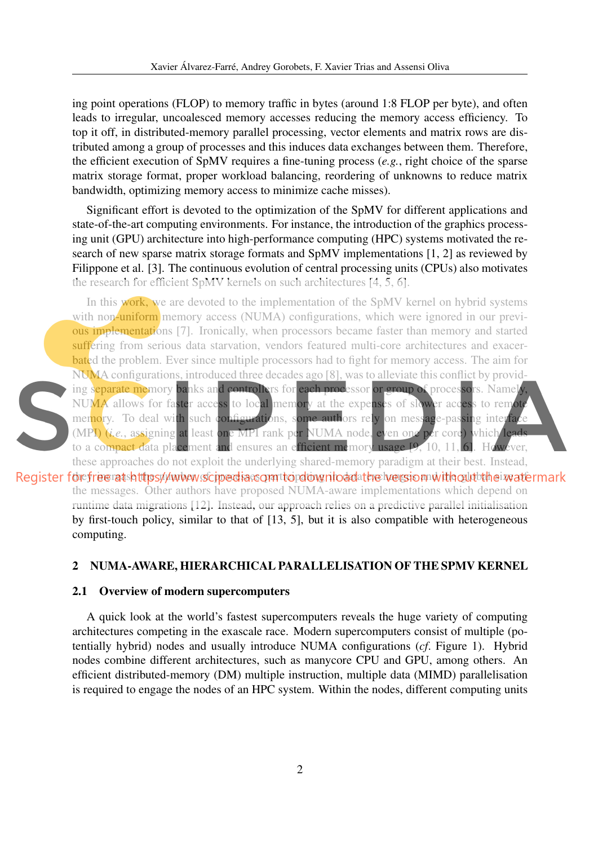ing point operations (FLOP) to memory traffic in bytes (around 1:8 FLOP per byte), and often leads to irregular, uncoalesced memory accesses reducing the memory access efficiency. To top it off, in distributed-memory parallel processing, vector elements and matrix rows are distributed among a group of processes and this induces data exchanges between them. Therefore, the efficient execution of SpMV requires a fine-tuning process (*e.g.*, right choice of the sparse matrix storage format, proper workload balancing, reordering of unknowns to reduce matrix bandwidth, optimizing memory access to minimize cache misses).

Significant effort is devoted to the optimization of the SpMV for different applications and state-of-the-art computing environments. For instance, the introduction of the graphics processing unit (GPU) architecture into high-performance computing (HPC) systems motivated the research of new sparse matrix storage formats and SpMV implementations [1, 2] as reviewed by Filippone et al. [3]. The continuous evolution of central processing units (CPUs) also motivates the research for efficient SpMV kernels on such architectures [4, 5, 6].

In this work, we are devoted to the implementation of the SpMV kernel on hybrid systems with non-uniform memory access (NUMA) configurations, which were ignored in our previous implementations [7]. Ironically, when processors became faster than memory and started suffering from serious data starvation, vendors featured multi-core architectures and exacerbated the problem. Ever since multiple processors had to fight for memory access. The aim for NUMA configurations, introduced three decades ago [8], was to alleviate this conflict by providing separate memory banks and controllers for each processor or group of processors. Namely NUMA allows for faster access to local memory at the expenses of slower access to remote memory. To deal with such configurations, some authors rely on message-passing interface (MPI) (*i.e.*, assigning at least one MPI rank per NUMA node, even one per core) which leads to a compact data placement and ensures an efficient memory usage [9, 10, 11, 6]. However, these approaches do not exploit the underlying shared-memory paradigm at their best. Instead,

Register for free ratshttps://www.scipediascomttordownloadathe wersionnwith out the invatermark the messages. Other authors have proposed NUMA-aware implementations which depend on runtime data migrations [12]. Instead, our approach relies on a predictive parallel initialisation by first-touch policy, similar to that of [13, 5], but it is also compatible with heterogeneous computing.

## 2 NUMA-AWARE, HIERARCHICAL PARALLELISATION OF THE SPMV KERNEL

#### 2.1 Overview of modern supercomputers

A quick look at the world's fastest supercomputers reveals the huge variety of computing architectures competing in the exascale race. Modern supercomputers consist of multiple (potentially hybrid) nodes and usually introduce NUMA configurations (*cf*. Figure 1). Hybrid nodes combine different architectures, such as manycore CPU and GPU, among others. An efficient distributed-memory (DM) multiple instruction, multiple data (MIMD) parallelisation is required to engage the nodes of an HPC system. Within the nodes, different computing units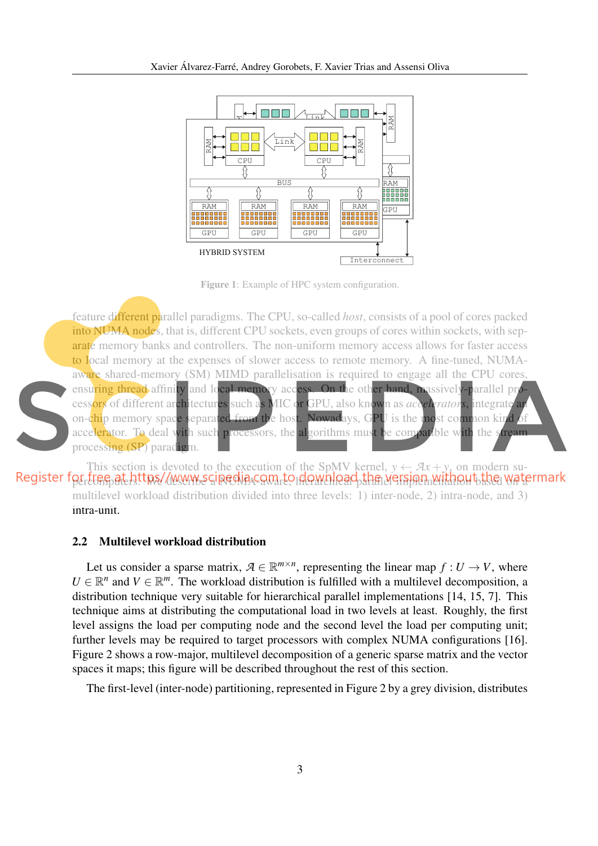

Figure 1: Example of HPC system configuration.

feature different parallel paradigms. The CPU, so-called *host*, consists of a pool of cores packed into NUMA nodes, that is, different CPU sockets, even groups of cores within sockets, with separate memory banks and controllers. The non-uniform memory access allows for faster access to local memory at the expenses of slower access to remote memory. A fine-tuned, NUMAaware shared-memory (SM) MIMD parallelisation is required to engage all the CPU cores, ensuring thread affinity and local memory access. On the other hand, massively-parallel processors of different architectures such as MIC or GPU, also known as *accelerators*, integrate an on-chip memory space separated from the host. Nowadays, GPU is the most common kind of accelerator. To deal with such processors, the algorithms must be compatible with the stream processing (SP) paradigm.

This section is devoted to the execution of the SpMV kernel,  $y \leftarrow Ax + y$ , on modern su-Register for tree at https//www.scipedia.com to download the version without the watermark multilevel workload distribution divided into three levels: 1) inter-node, 2) intra-node, and 3) intra-unit.

#### 2.2 Multilevel workload distribution

Let us consider a sparse matrix,  $A \in \mathbb{R}^{m \times n}$ , representing the linear map  $f: U \to V$ , where  $U \in \mathbb{R}^n$  and  $V \in \mathbb{R}^m$ . The workload distribution is fulfilled with a multilevel decomposition, a distribution technique very suitable for hierarchical parallel implementations [14, 15, 7]. This technique aims at distributing the computational load in two levels at least. Roughly, the first level assigns the load per computing node and the second level the load per computing unit; further levels may be required to target processors with complex NUMA configurations [16]. Figure 2 shows a row-major, multilevel decomposition of a generic sparse matrix and the vector spaces it maps; this figure will be described throughout the rest of this section.

The first-level (inter-node) partitioning, represented in Figure 2 by a grey division, distributes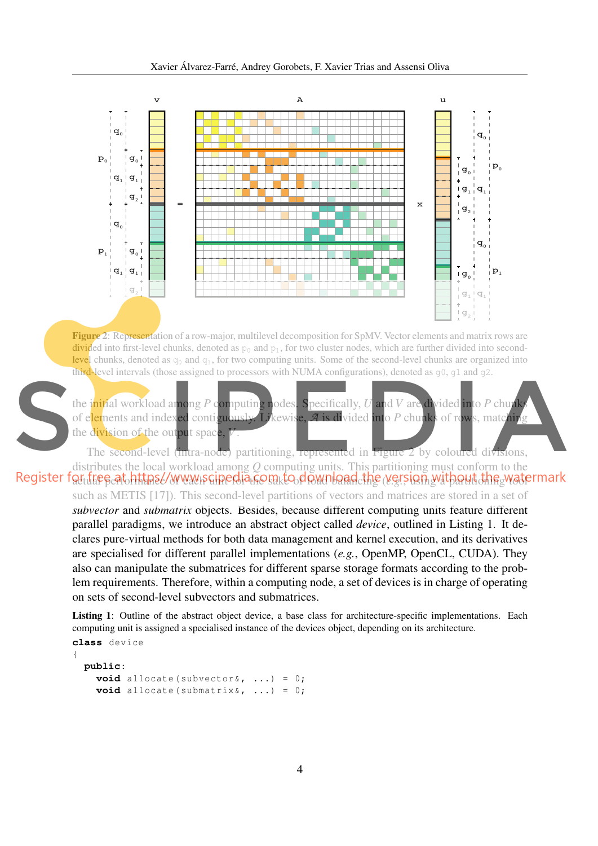

Figure 2: Representation of a row-major, multilevel decomposition for SpMV. Vector elements and matrix rows are divided into first-level chunks, denoted as  $p_0$  and  $p_1$ , for two cluster nodes, which are further divided into second**level** chunks, denoted as  $q_0$  and  $q_1$ , for two computing units. Some of the second-level chunks are organized into third-level intervals (those assigned to processors with NUMA configurations), denoted as  $q0$ ,  $q1$  and  $q2$ .

the initial workload among *P* computing nodes. Specifically, *U* and *V* are divided into *P* chunks of elements and indexed contiguously. Likewise, *A* is divided into *P* chunks of rows, matching the division of the output space,

The second-level (intra-node) partitioning, represented in Figure 2 by coloured divisions, distributes the local workload among *Q* computing units. This partitioning must conform to the Register for the satch that www.scipedia.com.to.download the version with aut the watermark

such as METIS [17]). This second-level partitions of vectors and matrices are stored in a set of *subvector* and *submatrix* objects. Besides, because different computing units feature different parallel paradigms, we introduce an abstract object called *device*, outlined in Listing 1. It declares pure-virtual methods for both data management and kernel execution, and its derivatives are specialised for different parallel implementations (*e.g.*, OpenMP, OpenCL, CUDA). They also can manipulate the submatrices for different sparse storage formats according to the problem requirements. Therefore, within a computing node, a set of devices is in charge of operating on sets of second-level subvectors and submatrices.

Listing 1: Outline of the abstract object device, a base class for architecture-specific implementations. Each computing unit is assigned a specialised instance of the devices object, depending on its architecture.

```
class device
{
  public:
    void allocate (subvector (x, \ldots) = 0;
    void allocate (submatrix (x, \ldots) = 0;
```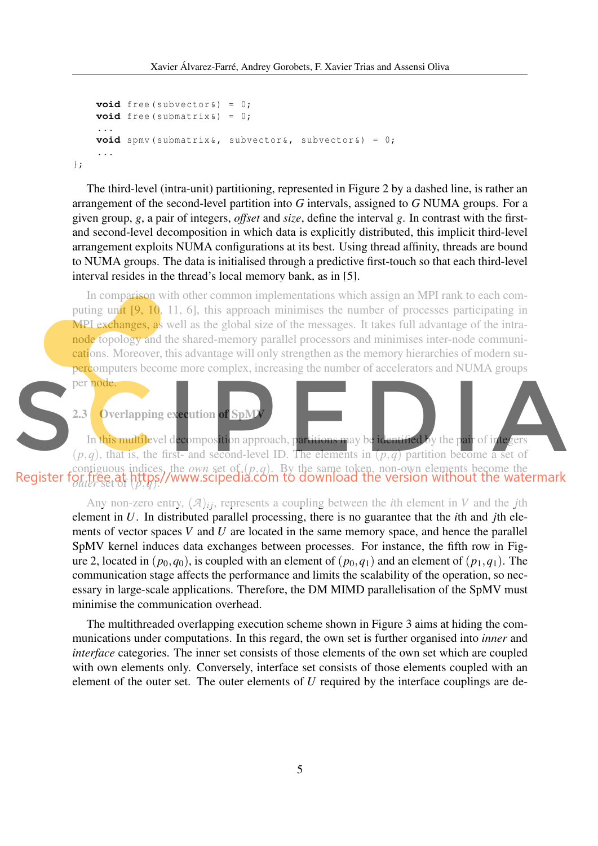```
void free (subvector &) = 0;
    void free (submatrix &) = 0;
    ...
    void spmv ( submatrix &, subvector &, subvector &) = 0;
    ...
};
```
The third-level (intra-unit) partitioning, represented in Figure 2 by a dashed line, is rather an arrangement of the second-level partition into *G* intervals, assigned to *G* NUMA groups. For a given group, *g*, a pair of integers, *offset* and *size*, define the interval *g*. In contrast with the firstand second-level decomposition in which data is explicitly distributed, this implicit third-level arrangement exploits NUMA configurations at its best. Using thread affinity, threads are bound to NUMA groups. The data is initialised through a predictive first-touch so that each third-level interval resides in the thread's local memory bank, as in [5].

In comparison with other common implementations which assign an MPI rank to each computing unit [9, 10, 11, 6], this approach minimises the number of processes participating in MPI exchanges, as well as the global size of the messages. It takes full advantage of the intranode topology and the shared-memory parallel processors and minimises inter-node communications. Moreover, this advantage will only strengthen as the memory hierarchies of modern supercomputers become more complex, increasing the number of accelerators and NUMA groups

```
per node
```




Any non-zero entry,  $(\mathcal{A})_{ij}$ , represents a coupling between the *i*th element in *V* and the *j*th element in *U*. In distributed parallel processing, there is no guarantee that the *i*th and *j*th elements of vector spaces *V* and *U* are located in the same memory space, and hence the parallel SpMV kernel induces data exchanges between processes. For instance, the fifth row in Figure 2, located in  $(p_0, q_0)$ , is coupled with an element of  $(p_0, q_1)$  and an element of  $(p_1, q_1)$ . The communication stage affects the performance and limits the scalability of the operation, so necessary in large-scale applications. Therefore, the DM MIMD parallelisation of the SpMV must minimise the communication overhead.

The multithreaded overlapping execution scheme shown in Figure 3 aims at hiding the communications under computations. In this regard, the own set is further organised into *inner* and *interface* categories. The inner set consists of those elements of the own set which are coupled with own elements only. Conversely, interface set consists of those elements coupled with an element of the outer set. The outer elements of *U* required by the interface couplings are de-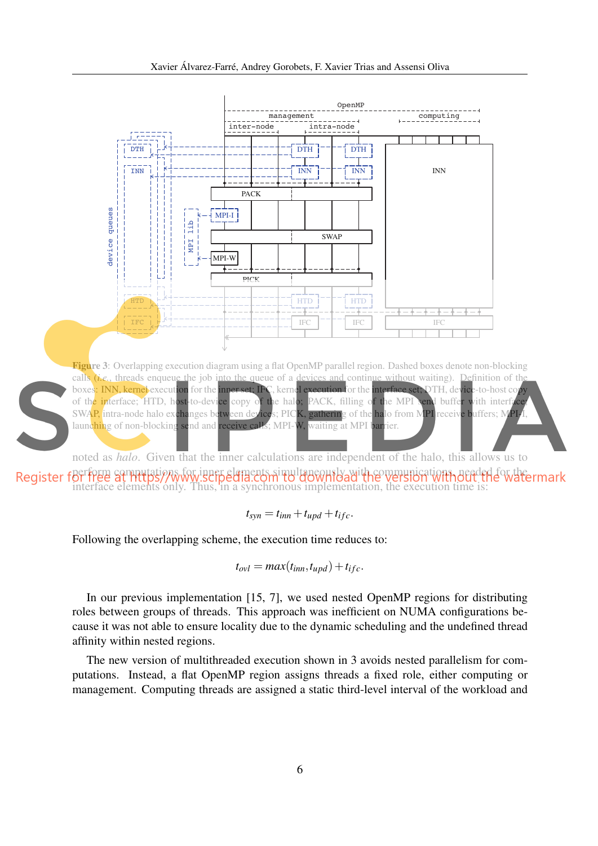

interface elements only. Thus, in a synchronous implementation, the execution time is:

$$
t_{syn} = t_{inn} + t_{upd} + t_{ifc}.
$$

Following the overlapping scheme, the execution time reduces to:

$$
t_{ovl} = max(t_{inn}, t_{upd}) + t_{ifc}.
$$

In our previous implementation [15, 7], we used nested OpenMP regions for distributing roles between groups of threads. This approach was inefficient on NUMA configurations because it was not able to ensure locality due to the dynamic scheduling and the undefined thread affinity within nested regions.

The new version of multithreaded execution shown in 3 avoids nested parallelism for computations. Instead, a flat OpenMP region assigns threads a fixed role, either computing or management. Computing threads are assigned a static third-level interval of the workload and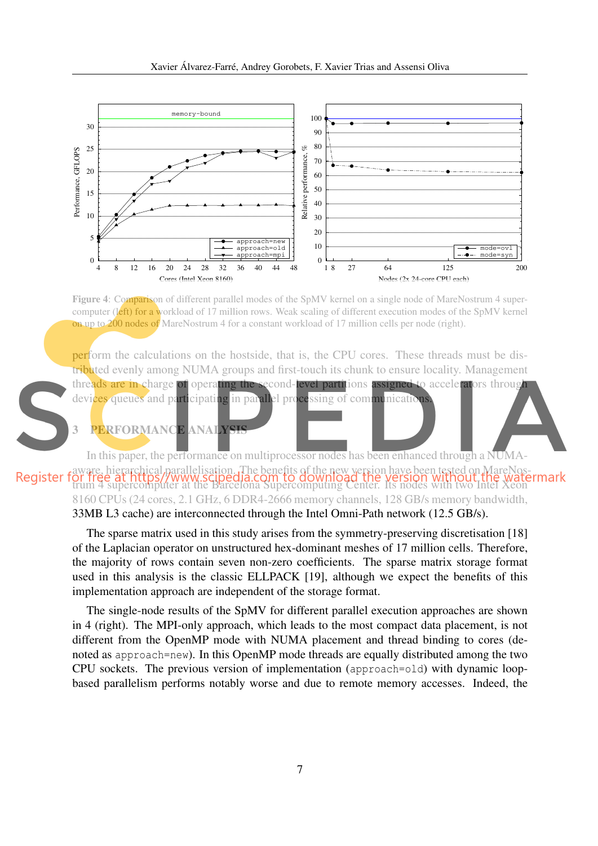

Figure 4: Comparison of different parallel modes of the SpMV kernel on a single node of MareNostrum 4 supercomputer (left) for a workload of 17 million rows. Weak scaling of different execution modes of the SpMV kernel on up to 200 nodes of MareNostrum 4 for a constant workload of 17 million cells per node (right).

perform the calculations on the hostside, that is, the CPU cores. These threads must be distributed evenly among NUMA groups and first-touch its chunk to ensure locality. Management threads are in charge of operating the second-level partitions assigned to accelerators through devices queues and participating in parallel processing of communications.

## 3 PERFORMANCE ANALY

In this paper, the performance on multiprocessor nodes has been enhanced through a NUMAaware, hierarchical parallelisation. The benefits of the new version have been tested on MareNostrum 4 supercomputer at the Barcelona Supercomputing Center. Its nodes with two Intel Xeon 8160 CPUs (24 cores, 2.1 GHz, 6 DDR4-2666 memory channels, 128 GB/s memory bandwidth, 33MB L3 cache) are interconnected through the Intel Omni-Path network (12.5 GB/s).

> The sparse matrix used in this study arises from the symmetry-preserving discretisation [18] of the Laplacian operator on unstructured hex-dominant meshes of 17 million cells. Therefore, the majority of rows contain seven non-zero coefficients. The sparse matrix storage format used in this analysis is the classic ELLPACK [19], although we expect the benefits of this implementation approach are independent of the storage format.

> The single-node results of the SpMV for different parallel execution approaches are shown in 4 (right). The MPI-only approach, which leads to the most compact data placement, is not different from the OpenMP mode with NUMA placement and thread binding to cores (denoted as approach=new). In this OpenMP mode threads are equally distributed among the two CPU sockets. The previous version of implementation (approach=old) with dynamic loopbased parallelism performs notably worse and due to remote memory accesses. Indeed, the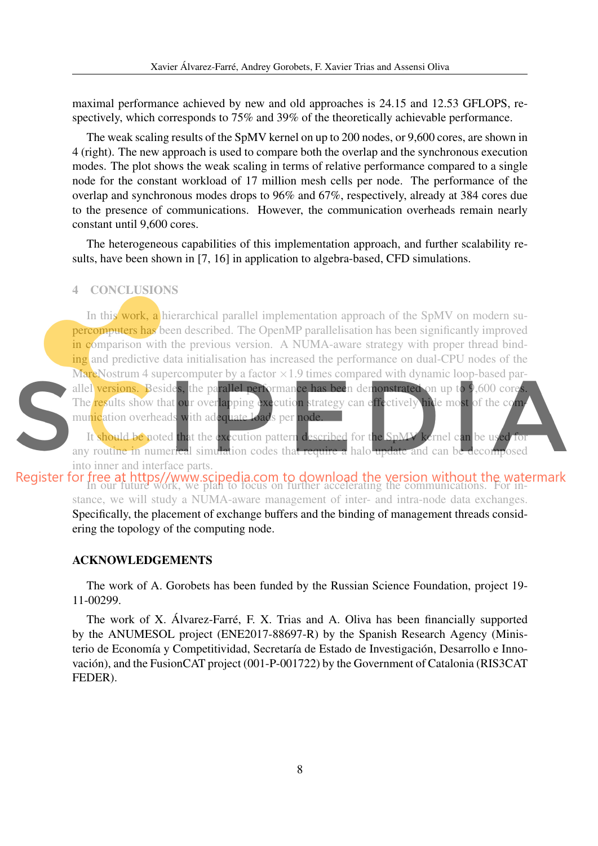maximal performance achieved by new and old approaches is 24.15 and 12.53 GFLOPS, respectively, which corresponds to 75% and 39% of the theoretically achievable performance.

The weak scaling results of the SpMV kernel on up to 200 nodes, or 9,600 cores, are shown in 4 (right). The new approach is used to compare both the overlap and the synchronous execution modes. The plot shows the weak scaling in terms of relative performance compared to a single node for the constant workload of 17 million mesh cells per node. The performance of the overlap and synchronous modes drops to 96% and 67%, respectively, already at 384 cores due to the presence of communications. However, the communication overheads remain nearly constant until 9,600 cores.

The heterogeneous capabilities of this implementation approach, and further scalability results, have been shown in [7, 16] in application to algebra-based, CFD simulations.

#### 4 CONCLUSIONS



In this work, a hierarchical parallel implementation approach of the SpMV on modern supercomputers has been described. The OpenMP parallelisation has been significantly improved in comparison with the previous version. A NUMA-aware strategy with proper thread binding and predictive data initialisation has increased the performance on dual-CPU nodes of the **MareNostrum 4 supercomputer by a factor**  $\times$ **1.9 times compared with dynamic loop-based par**allel versions. Besides, the parallel performance has been demonstrated on up to 9,600 core The results show that our overlapping execution strategy can effectively hide most of the com-

munication overheads with adequate loads per node.

It should be noted that the execution pattern described for the SpMV kernel can be used for any routine in numerical simulation codes that require a halo update and can be decomposed into inner and interface parts.

Register for free at https//www.scipedia.com to download the version without the watermark<br>In our future work, we plan to focus on further accelerating the communications. For instance, we will study a NUMA-aware management of inter- and intra-node data exchanges. Specifically, the placement of exchange buffers and the binding of management threads considering the topology of the computing node.

### ACKNOWLEDGEMENTS

The work of A. Gorobets has been funded by the Russian Science Foundation, project 19- 11-00299.

The work of X. Álvarez-Farré, F. X. Trias and A. Oliva has been financially supported by the ANUMESOL project (ENE2017-88697-R) by the Spanish Research Agency (Ministerio de Economía y Competitividad, Secretaría de Estado de Investigación, Desarrollo e Innovación), and the FusionCAT project (001-P-001722) by the Government of Catalonia (RIS3CAT FEDER).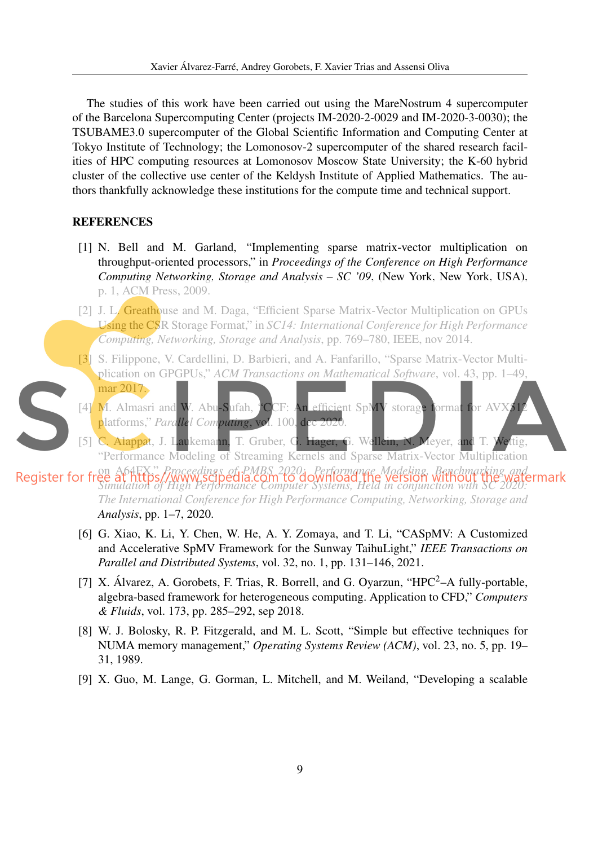The studies of this work have been carried out using the MareNostrum 4 supercomputer of the Barcelona Supercomputing Center (projects IM-2020-2-0029 and IM-2020-3-0030); the TSUBAME3.0 supercomputer of the Global Scientific Information and Computing Center at Tokyo Institute of Technology; the Lomonosov-2 supercomputer of the shared research facilities of HPC computing resources at Lomonosov Moscow State University; the K-60 hybrid cluster of the collective use center of the Keldysh Institute of Applied Mathematics. The authors thankfully acknowledge these institutions for the compute time and technical support.

#### REFERENCES

- [1] N. Bell and M. Garland, "Implementing sparse matrix-vector multiplication on throughput-oriented processors," in *Proceedings of the Conference on High Performance Computing Networking, Storage and Analysis – SC '09*, (New York, New York, USA), p. 1, ACM Press, 2009.
- [2] J. L. Greathouse and M. Daga, "Efficient Sparse Matrix-Vector Multiplication on GPUs Using the CSR Storage Format," in *SC14: International Conference for High Performance Computing, Networking, Storage and Analysis*, pp. 769–780, IEEE, nov 2014.
- [3] S. Filippone, V. Cardellini, D. Barbieri, and A. Fanfarillo, "Sparse Matrix-Vector Multiplication on GPGPUs," *ACM Transactions on Mathematical Software*, vol. 43, pp. 1–49, mar 2017.
- [4] M. Almasri and W. Abu-Sufah, "CCF: An efficient SpMV storage format for AV platforms," *Parallel Computing*, vol. 100, dec 2020.
- [5] C. Alappat, J. Laukemann, T. Gruber, G. Hager, G. Wellein, N. Meyer, and T. Wettig, "Performance Modeling of Streaming Kernels and Sparse Matrix-Vector Multiplication

on A64FX," *Proceedings of PMBS 2020: Performance Modeling, Benchmarking and Simulation of High Performance Computer Systems, Held in conjunction with SC 2020: The International Conference for High Performance Computing, Networking, Storage and Analysis*, pp. 1–7, 2020.

- [6] G. Xiao, K. Li, Y. Chen, W. He, A. Y. Zomaya, and T. Li, "CASpMV: A Customized and Accelerative SpMV Framework for the Sunway TaihuLight," *IEEE Transactions on Parallel and Distributed Systems*, vol. 32, no. 1, pp. 131–146, 2021.
- [7] X. Álvarez, A. Gorobets, F. Trias, R. Borrell, and G. Oyarzun, "HPC<sup>2</sup>-A fully-portable, algebra-based framework for heterogeneous computing. Application to CFD," *Computers & Fluids*, vol. 173, pp. 285–292, sep 2018.
- [8] W. J. Bolosky, R. P. Fitzgerald, and M. L. Scott, "Simple but effective techniques for NUMA memory management," *Operating Systems Review (ACM)*, vol. 23, no. 5, pp. 19– 31, 1989.
- [9] X. Guo, M. Lange, G. Gorman, L. Mitchell, and M. Weiland, "Developing a scalable